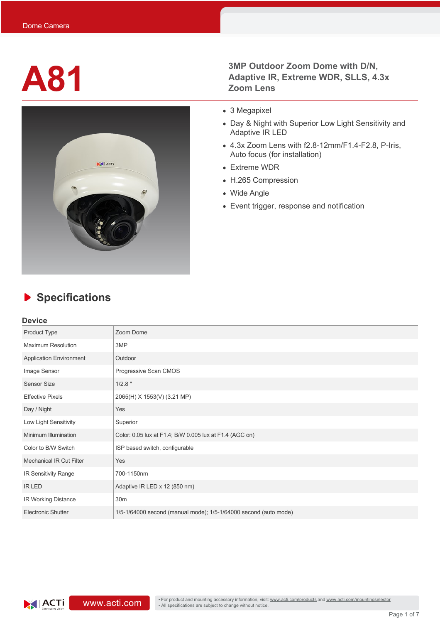

## **A81 3MP** Outdoor Zoom Dome with D/N,<br>Adaptive IR, Extreme WDR, SLLS, 4.<br>Zoom Lens **Adaptive IR, Extreme WDR, SLLS, 4.3x Zoom Lens**

- 3 Megapixel
- Day & Night with Superior Low Light Sensitivity and Adaptive IR LED
- 4.3x Zoom Lens with f2.8-12mm/F1.4-F2.8, P-Iris, Auto focus (for installation)
- Extreme WDR
- H.265 Compression
- Wide Angle
- Event trigger, response and notification

# **Specifications**

### **Device**

| Product Type                    | Zoom Dome                                                        |  |
|---------------------------------|------------------------------------------------------------------|--|
| <b>Maximum Resolution</b>       | 3MP                                                              |  |
| <b>Application Environment</b>  | Outdoor                                                          |  |
| Image Sensor                    | Progressive Scan CMOS                                            |  |
| <b>Sensor Size</b>              | $1/2.8$ "                                                        |  |
| <b>Effective Pixels</b>         | 2065(H) X 1553(V) (3.21 MP)                                      |  |
| Day / Night                     | Yes                                                              |  |
| Low Light Sensitivity           | Superior                                                         |  |
| Minimum Illumination            | Color: 0.05 lux at F1.4; B/W 0.005 lux at F1.4 (AGC on)          |  |
| Color to B/W Switch             | ISP based switch, configurable                                   |  |
| <b>Mechanical IR Cut Filter</b> | Yes                                                              |  |
| IR Sensitivity Range            | 700-1150nm                                                       |  |
| <b>IR LED</b>                   | Adaptive IR LED x 12 (850 nm)                                    |  |
| IR Working Distance             | 30m                                                              |  |
| <b>Electronic Shutter</b>       | 1/5-1/64000 second (manual mode); 1/5-1/64000 second (auto mode) |  |
|                                 |                                                                  |  |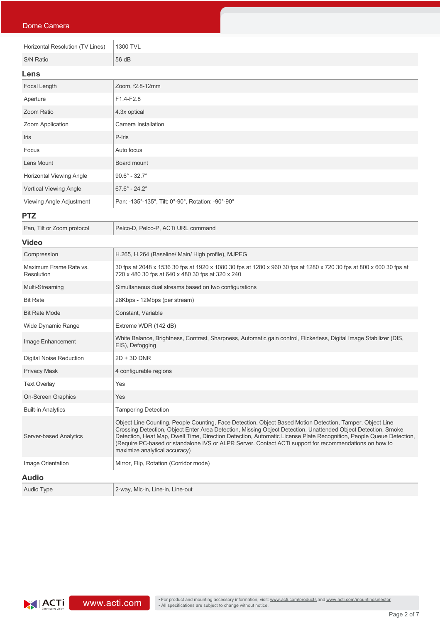| Dome Camera                          |                                                                                                                                                                                                                                                                                                                                                                                                                                                                                             |  |  |
|--------------------------------------|---------------------------------------------------------------------------------------------------------------------------------------------------------------------------------------------------------------------------------------------------------------------------------------------------------------------------------------------------------------------------------------------------------------------------------------------------------------------------------------------|--|--|
| Horizontal Resolution (TV Lines)     | 1300 TVL                                                                                                                                                                                                                                                                                                                                                                                                                                                                                    |  |  |
| S/N Ratio                            | 56 dB                                                                                                                                                                                                                                                                                                                                                                                                                                                                                       |  |  |
| Lens                                 |                                                                                                                                                                                                                                                                                                                                                                                                                                                                                             |  |  |
| Focal Length                         | Zoom, f2.8-12mm                                                                                                                                                                                                                                                                                                                                                                                                                                                                             |  |  |
| Aperture                             | F1.4-F2.8                                                                                                                                                                                                                                                                                                                                                                                                                                                                                   |  |  |
| Zoom Ratio                           | 4.3x optical                                                                                                                                                                                                                                                                                                                                                                                                                                                                                |  |  |
| Zoom Application                     | Camera Installation                                                                                                                                                                                                                                                                                                                                                                                                                                                                         |  |  |
| Iris                                 | P-Iris                                                                                                                                                                                                                                                                                                                                                                                                                                                                                      |  |  |
| Focus                                | Auto focus                                                                                                                                                                                                                                                                                                                                                                                                                                                                                  |  |  |
| Lens Mount                           | Board mount                                                                                                                                                                                                                                                                                                                                                                                                                                                                                 |  |  |
| <b>Horizontal Viewing Angle</b>      | $90.6^{\circ}$ - 32.7°                                                                                                                                                                                                                                                                                                                                                                                                                                                                      |  |  |
| Vertical Viewing Angle               | $67.6^{\circ}$ - 24.2 $^{\circ}$                                                                                                                                                                                                                                                                                                                                                                                                                                                            |  |  |
| Viewing Angle Adjustment             | Pan: -135°-135°, Tilt: 0°-90°, Rotation: -90°-90°                                                                                                                                                                                                                                                                                                                                                                                                                                           |  |  |
| <b>PTZ</b>                           |                                                                                                                                                                                                                                                                                                                                                                                                                                                                                             |  |  |
| Pan, Tilt or Zoom protocol           | Pelco-D, Pelco-P, ACTi URL command                                                                                                                                                                                                                                                                                                                                                                                                                                                          |  |  |
| <b>Video</b>                         |                                                                                                                                                                                                                                                                                                                                                                                                                                                                                             |  |  |
| Compression                          | H.265, H.264 (Baseline/ Main/ High profile), MJPEG                                                                                                                                                                                                                                                                                                                                                                                                                                          |  |  |
| Maximum Frame Rate vs.<br>Resolution | 30 fps at 2048 x 1536 30 fps at 1920 x 1080 30 fps at 1280 x 960 30 fps at 1280 x 720 30 fps at 800 x 600 30 fps at<br>720 x 480 30 fps at 640 x 480 30 fps at 320 x 240                                                                                                                                                                                                                                                                                                                    |  |  |
| Multi-Streaming                      | Simultaneous dual streams based on two configurations                                                                                                                                                                                                                                                                                                                                                                                                                                       |  |  |
| <b>Bit Rate</b>                      | 28Kbps - 12Mbps (per stream)                                                                                                                                                                                                                                                                                                                                                                                                                                                                |  |  |
| <b>Bit Rate Mode</b>                 | Constant, Variable                                                                                                                                                                                                                                                                                                                                                                                                                                                                          |  |  |
| Wide Dynamic Range                   | Extreme WDR (142 dB)                                                                                                                                                                                                                                                                                                                                                                                                                                                                        |  |  |
| Image Enhancement                    | White Balance, Brightness, Contrast, Sharpness, Automatic gain control, Flickerless, Digital Image Stabilizer (DIS,<br>EIS), Defogging                                                                                                                                                                                                                                                                                                                                                      |  |  |
| <b>Digital Noise Reduction</b>       | $2D + 3D$ DNR                                                                                                                                                                                                                                                                                                                                                                                                                                                                               |  |  |
| <b>Privacy Mask</b>                  | 4 configurable regions                                                                                                                                                                                                                                                                                                                                                                                                                                                                      |  |  |
| <b>Text Overlay</b>                  | Yes                                                                                                                                                                                                                                                                                                                                                                                                                                                                                         |  |  |
| On-Screen Graphics                   | Yes                                                                                                                                                                                                                                                                                                                                                                                                                                                                                         |  |  |
| <b>Built-in Analytics</b>            | <b>Tampering Detection</b>                                                                                                                                                                                                                                                                                                                                                                                                                                                                  |  |  |
| Server-based Analytics               | Object Line Counting, People Counting, Face Detection, Object Based Motion Detection, Tamper, Object Line<br>Crossing Detection, Object Enter Area Detection, Missing Object Detection, Unattended Object Detection, Smoke<br>Detection, Heat Map, Dwell Time, Direction Detection, Automatic License Plate Recognition, People Queue Detection,<br>(Require PC-based or standalone IVS or ALPR Server. Contact ACTi support for recommendations on how to<br>maximize analytical accuracy) |  |  |
| Image Orientation                    | Mirror, Flip, Rotation (Corridor mode)                                                                                                                                                                                                                                                                                                                                                                                                                                                      |  |  |
| <b>Audio</b>                         |                                                                                                                                                                                                                                                                                                                                                                                                                                                                                             |  |  |
| Audio Type                           | 2-way, Mic-in, Line-in, Line-out                                                                                                                                                                                                                                                                                                                                                                                                                                                            |  |  |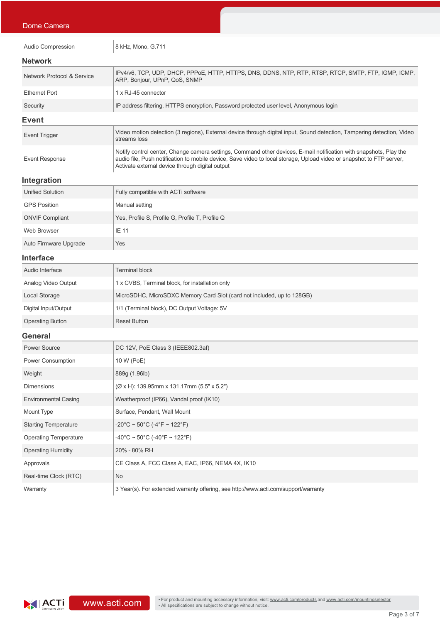### Dome Camera

| Audio Compression          | 8 kHz. Mono. G.711                                                                                                                                                                                                                                                                            |  |  |  |
|----------------------------|-----------------------------------------------------------------------------------------------------------------------------------------------------------------------------------------------------------------------------------------------------------------------------------------------|--|--|--|
| <b>Network</b>             |                                                                                                                                                                                                                                                                                               |  |  |  |
| Network Protocol & Service | IPv4/v6, TCP, UDP, DHCP, PPPoE, HTTP, HTTPS, DNS, DDNS, NTP, RTP, RTSP, RTCP, SMTP, FTP, IGMP, ICMP,<br>ARP, Bonjour, UPnP, QoS, SNMP                                                                                                                                                         |  |  |  |
| <b>Ethernet Port</b>       | 1 x RJ-45 connector                                                                                                                                                                                                                                                                           |  |  |  |
| Security                   | IP address filtering, HTTPS encryption, Password protected user level, Anonymous login                                                                                                                                                                                                        |  |  |  |
| Event                      |                                                                                                                                                                                                                                                                                               |  |  |  |
| <b>Event Trigger</b>       | Video motion detection (3 regions), External device through digital input, Sound detection, Tampering detection, Video<br>streams loss                                                                                                                                                        |  |  |  |
| Event Response             | Notify control center, Change camera settings, Command other devices, E-mail notification with snapshots, Play the<br>audio file, Push notification to mobile device, Save video to local storage, Upload video or snapshot to FTP server,<br>Activate external device through digital output |  |  |  |

## **Integration**

| <b>Unified Solution</b> | Fully compatible with ACTi software             |
|-------------------------|-------------------------------------------------|
| <b>GPS Position</b>     | Manual setting                                  |
| <b>ONVIF Compliant</b>  | Yes, Profile S, Profile G, Profile T, Profile Q |
| Web Browser             | <b>IE 11</b>                                    |
| Auto Firmware Upgrade   | Yes                                             |

### **Interface**

| Audio Interface         | <b>Terminal block</b>                                                  |
|-------------------------|------------------------------------------------------------------------|
| Analog Video Output     | 1 x CVBS, Terminal block, for installation only                        |
| Local Storage           | MicroSDHC, MicroSDXC Memory Card Slot (card not included, up to 128GB) |
| Digital Input/Output    | 1/1 (Terminal block), DC Output Voltage: 5V                            |
| <b>Operating Button</b> | <b>Reset Button</b>                                                    |

### **General**

| <b>Power Source</b>          | DC 12V, PoE Class 3 (IEEE802.3af)                                                   |  |
|------------------------------|-------------------------------------------------------------------------------------|--|
| Power Consumption            | 10 W (PoE)                                                                          |  |
| Weight                       | 889g (1.96lb)                                                                       |  |
| <b>Dimensions</b>            | (Ø x H): 139.95mm x 131.17mm (5.5" x 5.2")                                          |  |
| <b>Environmental Casing</b>  | Weatherproof (IP66), Vandal proof (IK10)                                            |  |
| Mount Type                   | Surface, Pendant, Wall Mount                                                        |  |
| <b>Starting Temperature</b>  | $-20^{\circ}$ C ~ 50 $^{\circ}$ C (-4 $^{\circ}$ F ~ 122 $^{\circ}$ F)              |  |
| <b>Operating Temperature</b> | $-40^{\circ}$ C ~ 50 $^{\circ}$ C (-40 $^{\circ}$ F ~ 122 $^{\circ}$ F)             |  |
| <b>Operating Humidity</b>    | 20% - 80% RH                                                                        |  |
| Approvals                    | CE Class A, FCC Class A, EAC, IP66, NEMA 4X, IK10                                   |  |
| Real-time Clock (RTC)        | <b>No</b>                                                                           |  |
| Warranty                     | 3 Year(s). For extended warranty offering, see http://www.acti.com/support/warranty |  |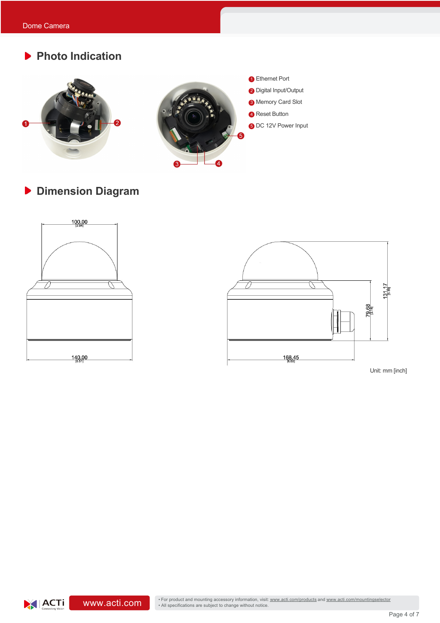# **Photo Indication**





**Dimension Diagram**





 $|ACTi|$ 

• For product and mounting accessory information, visit: www.acti.com/products and www.acti.com/mountingselector<br>• All specifications are subject to change without notice.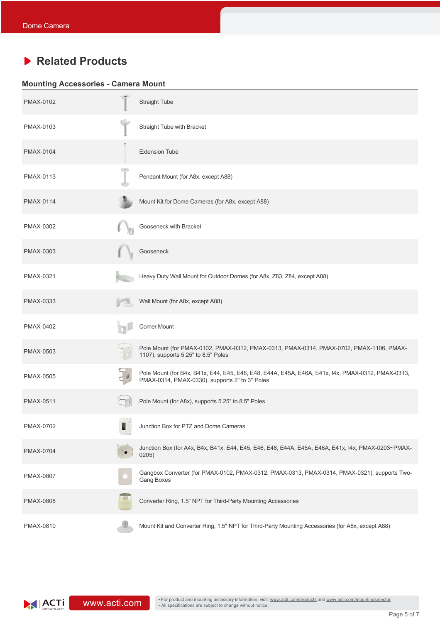# **Related Products**

### **Mounting Accessories - Camera Mount**

| <b>PMAX-0102</b> |           | <b>Straight Tube</b>                                                                                                                                |
|------------------|-----------|-----------------------------------------------------------------------------------------------------------------------------------------------------|
| PMAX-0103        |           | Straight Tube with Bracket                                                                                                                          |
| <b>PMAX-0104</b> |           | <b>Extension Tube</b>                                                                                                                               |
| PMAX-0113        |           | Pendant Mount (for A8x, except A88)                                                                                                                 |
| PMAX-0114        |           | Mount Kit for Dome Cameras (for A8x, except A88)                                                                                                    |
| PMAX-0302        |           | Gooseneck with Bracket                                                                                                                              |
| <b>PMAX-0303</b> |           | Gooseneck                                                                                                                                           |
| PMAX-0321        |           | Heavy Duty Wall Mount for Outdoor Domes (for A8x, Z83, Z84, except A88)                                                                             |
| PMAX-0333        |           | Wall Mount (for A8x, except A88)                                                                                                                    |
| <b>PMAX-0402</b> |           | Corner Mount                                                                                                                                        |
| <b>PMAX-0503</b> |           | Pole Mount (for PMAX-0102, PMAX-0312, PMAX-0313, PMAX-0314, PMAX-0702, PMAX-1106, PMAX-<br>1107), supports 5.25" to 8.5" Poles                      |
| <b>PMAX-0505</b> |           | Pole Mount (for B4x, B41x, E44, E45, E46, E48, E44A, E45A, E46A, E41x, I4x, PMAX-0312, PMAX-0313,<br>PMAX-0314, PMAX-0330), supports 2" to 3" Poles |
| <b>PMAX-0511</b> |           | Pole Mount (for A8x), supports 5.25" to 8.5" Poles                                                                                                  |
| PMAX-0702        | $=$ $\pm$ | Junction Box for PTZ and Dome Cameras                                                                                                               |
| <b>PMAX-0704</b> |           | Junction Box (for A4x, B4x, B41x, E44, E45, E46, E48, E44A, E45A, E46A, E41x, I4x, PMAX-0203~PMAX-<br>0205)                                         |
| <b>PMAX-0807</b> |           | Gangbox Converter (for PMAX-0102, PMAX-0312, PMAX-0313, PMAX-0314, PMAX-0321), supports Two-<br>Gang Boxes                                          |
| <b>PMAX-0808</b> |           | Converter Ring, 1.5" NPT for Third-Party Mounting Accessories                                                                                       |
| PMAX-0810        |           | Mount Kit and Converter Ring, 1.5" NPT for Third-Party Mounting Accessories (for A8x, except A88)                                                   |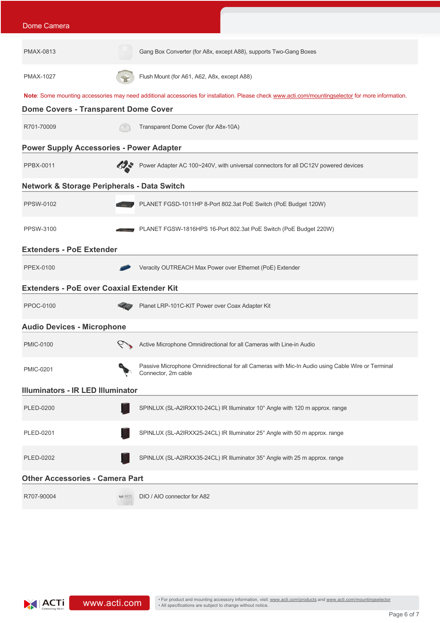| Dome Camera                                            |                |                                                                                                                                                    |
|--------------------------------------------------------|----------------|----------------------------------------------------------------------------------------------------------------------------------------------------|
| PMAX-0813                                              |                | Gang Box Converter (for A8x, except A88), supports Two-Gang Boxes                                                                                  |
| <b>PMAX-1027</b>                                       |                | Flush Mount (for A61, A62, A8x, except A88)                                                                                                        |
|                                                        |                | Note: Some mounting accessories may need additional accessories for installation. Please check www.acti.com/mountingselector for more information. |
| <b>Dome Covers - Transparent Dome Cover</b>            |                |                                                                                                                                                    |
| R701-70009                                             |                | Transparent Dome Cover (for A8x-10A)                                                                                                               |
| <b>Power Supply Accessories - Power Adapter</b>        |                |                                                                                                                                                    |
| PPBX-0011                                              |                | Power Adapter AC 100~240V, with universal connectors for all DC12V powered devices                                                                 |
| <b>Network &amp; Storage Peripherals - Data Switch</b> |                |                                                                                                                                                    |
| PPSW-0102                                              |                | PLANET FGSD-1011HP 8-Port 802.3at PoE Switch (PoE Budget 120W)                                                                                     |
| PPSW-3100                                              |                | PLANET FGSW-1816HPS 16-Port 802.3at PoE Switch (PoE Budget 220W)                                                                                   |
| <b>Extenders - PoE Extender</b>                        |                |                                                                                                                                                    |
| <b>PPEX-0100</b>                                       |                | Veracity OUTREACH Max Power over Ethernet (PoE) Extender                                                                                           |
| <b>Extenders - PoE over Coaxial Extender Kit</b>       |                |                                                                                                                                                    |
| PPOC-0100                                              |                | Planet LRP-101C-KIT Power over Coax Adapter Kit                                                                                                    |
| <b>Audio Devices - Microphone</b>                      |                |                                                                                                                                                    |
| <b>PMIC-0100</b>                                       |                | Active Microphone Omnidirectional for all Cameras with Line-in Audio                                                                               |
| <b>PMIC-0201</b>                                       |                | Passive Microphone Omnidirectional for all Cameras with Mic-In Audio using Cable Wire or Terminal<br>Connector, 2m cable                           |
| <b>Illuminators - IR LED Illuminator</b>               |                |                                                                                                                                                    |
| PLED-0200                                              |                | SPINLUX (SL-A2IRXX10-24CL) IR Illuminator 10° Angle with 120 m approx. range                                                                       |
| <b>PLED-0201</b>                                       |                | SPINLUX (SL-A2IRXX25-24CL) IR Illuminator 25° Angle with 50 m approx. range                                                                        |
| PLED-0202                                              |                | SPINLUX (SL-A2IRXX35-24CL) IR Illuminator 35° Angle with 25 m approx. range                                                                        |
| <b>Other Accessories - Camera Part</b>                 |                |                                                                                                                                                    |
| R707-90004                                             | <b>NI ACTi</b> | DIO / AIO connector for A82                                                                                                                        |